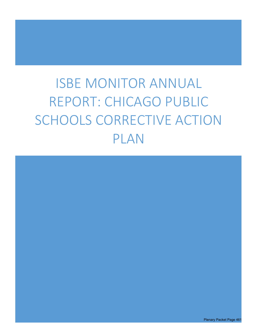# ISBE MONITOR ANNUAL REPORT: CHICAGO PUBLIC SCHOOLS CORRECTIVE ACTION PLAN

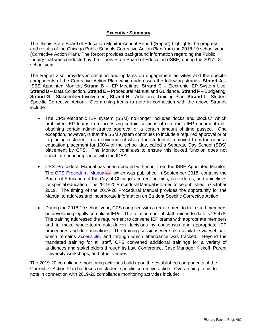# **Executive Summary**

The Illinois State Board of Education Monitor Annual Report (Report) highlights the progress and results of the Chicago Public Schools Corrective Action Plan from the 2018-19 school year (Corrective Action Plan). The Report provides background information regarding the Public Inquiry that was conducted by the Illinois State Board of Education (ISBE) during the 2017-18 school year.

The Report also provides information and updates on engagement activities and the specific components of the Corrective Action Plan, which addresses the following strands: **Strand A** – ISBE Appointed Monitor, **Strand B** – IEP Meetings, **Strand C** – Electronic IEP System Use, **Strand D** – Data Collection, **Strand E** – Procedural Manual and Guidance, **Strand F** – Budgeting, **Strand G** – Stakeholder Involvement, **Strand H** – Additional Training Plan, **Strand I** – Student Specific Corrective Action. Overarching items to note in connection with the above Strands include:

- The CPS electronic IEP system (SSM) no longer includes "locks and blocks," which prohibited IEP teams from accessing certain sections of electronic IEP document until obtaining certain administrative approval or a certain amount of time passed. One exception, however, is that the SSM system continues to include a required approval prior to placing a student in an environment where the student is removed from the general education placement for 100% of the school day, called a Separate Day School (SDS) placement by CPS. The Monitor continues to ensure this locked function does not constitute noncompliance with the IDEA.
- CPS' Procedural Manual has been updated with input from the ISBE Appointed Monitor. The CPS Procedural Manual , which was published in September 2018, contains the Board of Education of the City of Chicago's current policies, procedures, and guidelines for special education. The 2019-20 Procedural Manual is slated to be published in October 2019. The timing of the 2019-20 Procedural Manual provides the opportunity for the Manual to address and incorporate information on Student Specific Corrective Action.
- During the 2018-19 school year, CPS complied with a requirement to train staff members on developing legally compliant IEPs. The total number of staff trained to-date is 25,478. The training addressed the requirement to convene IEP teams with appropriate members and to make whole-team data-driven decisions by consensus and appropriate IEP procedures and determinations. The training sessions were also available via webinar, which remains accessible, and through which attendance was tracked. Beyond the mandated training for all staff, CPS convened additional trainings for a variety of audiences and stakeholders through its Law Conference, Case Manager Kickoff, Parent University workshops, and other venues.

The 2019-20 compliance monitoring activities build upon the established components of the Corrective Action Plan but focus on student specific corrective action. Overarching items to note in connection with 2019-20 compliance monitoring activities include: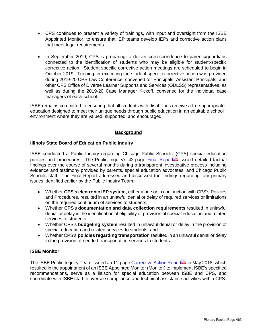- CPS continues to present a variety of trainings, with input and oversight from the ISBE Appointed Monitor, to ensure that IEP teams develop IEPs and corrective action plans that meet legal requirements.
- In September 2019, CPS is preparing to deliver correspondence to parents/guardians connected to the identification of students who may be eligible for student-specific corrective action. Student specific corrective action meetings are scheduled to begin in October 2019. Training for executing the student specific corrective action was provided during 2019-20 CPS Law Conference, convened for Principals, Assistant Principals, and other CPS Office of Diverse Learner Supports and Services (ODLSS) representatives, as well as during the 2019-20 Case Manager Kickoff, convened for the individual case managers of each school.

ISBE remains committed to ensuring that all students with disabilities receive a free appropriate education designed to meet their unique needs through public education in an equitable school environment where they are valued, supported, and encouraged.

# **Background**

# **Illinois State Board of Education Public Inquiry**

ISBE conducted a Public Inquiry regarding Chicago Public Schools' (CPS) special education policies and procedures. The Public Inquiry's 42-page Final Report issued detailed factual findings over the course of several months during a transparent investigative process including evidence and testimony provided by parents, special education advocates, and Chicago Public Schools staff. The Final Report addressed and discussed the findings regarding four primary issues identified earlier by the Public Inquiry Team:

- Whether **CPS's electronic IEP system**, either alone or in conjunction with CPS's Policies and Procedures, resulted in an unlawful denial or delay of required services or limitations on the required continuum of services to students;
- Whether CPS's **documentation and data collection requirements** resulted in unlawful denial or delay in the identification of eligibility or provision of special education and related services to students;
- Whether CPS's **budgeting system** resulted in unlawful denial or delay in the provision of special education and related services to students; and
- Whether CPS's **policies regarding transportation** resulted in an unlawful denial or delay in the provision of needed transportation services to students.

# **ISBE Monitor**

The ISBE Public Inquiry Team issued an 11-page Corrective Action Report in May 2018, which resulted in the appointment of an ISBE Appointed Monitor (Monitor) to implement ISBE's specified recommendations, serve as a liaison for special education between ISBE and CPS, and coordinate with ISBE staff to oversee compliance and technical assistance activities within CPS.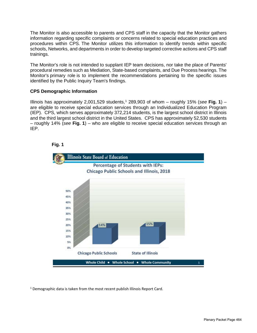The Monitor is also accessible to parents and CPS staff in the capacity that the Monitor gathers information regarding specific complaints or concerns related to special education practices and procedures within CPS. The Monitor utilizes this information to identify trends within specific schools, Networks, and departments in order to develop targeted corrective actions and CPS staff trainings.

The Monitor's role is not intended to supplant IEP team decisions, nor take the place of Parents' procedural remedies such as Mediation, State-based complaints, and Due Process hearings. The Monitor's primary role is to implement the recommendations pertaining to the specific issues identified by the Public Inquiry Team's findings.

# **CPS Demographic Information**

Illinois has approximately 2,001,529 students, <sup>1</sup> 289,903 of whom – roughly 15% (*see* **Fig. 1**) – are eligible to receive special education services through an Individualized Education Program (IEP). CPS, which serves approximately 372,214 students, is the largest school district in Illinois and the third largest school district in the United States. CPS has approximately 52,530 students – roughly 14% (*see* **Fig. 1**) – who are eligible to receive special education services through an IEP.





<sup>1</sup> Demographic data is taken from the most recent publish Illinois Report Card.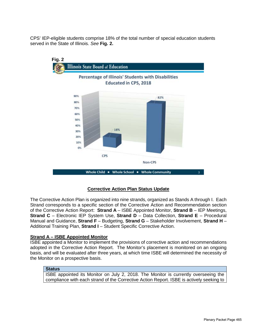CPS' IEP-eligible students comprise 18% of the total number of special education students served in the State of Illinois. *See* **Fig. 2.**



# **Corrective Action Plan Status Update**

The Corrective Action Plan is organized into nine strands, organized as Stands A through I. Each Strand corresponds to a specific section of the Corrective Action and Recommendation section of the Corrective Action Report: **Strand A** – ISBE Appointed Monitor, **Strand B** – IEP Meetings, **Strand C** – Electronic IEP System Use, **Strand D** – Data Collection, **Strand E** – Procedural Manual and Guidance, **Strand F** – Budgeting, **Strand G** – Stakeholder Involvement, **Strand H** – Additional Training Plan, **Strand I** – Student Specific Corrective Action.

# **Strand A – ISBE Appointed Monitor**

ISBE appointed a Monitor to implement the provisions of corrective action and recommendations adopted in the Corrective Action Report. The Monitor's placement is monitored on an ongoing basis, and will be evaluated after three years, at which time ISBE will determined the necessity of the Monitor on a prospective basis.

# **Status**

ISBE appointed its Monitor on July 2, 2018. The Monitor is currently overseeing the compliance with each strand of the Corrective Action Report. ISBE is actively seeking to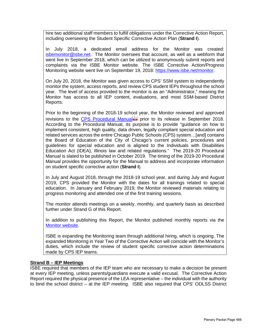hire two additional staff members to fulfill obligations under the Corrective Action Report, including overseeing the Student Specific Corrective Action Plan (**Strand I**).

In July 2018, a dedicated email address for the Monitor was created: isbemonitor@isbe.net. The Monitor oversees that account, as well as a webform that went live in September 2018, which can be utilized to anonymously submit reports and complaints via the ISBE Monitor website. The ISBE Corrective Action/Progress Monitoring website went live on September 19, 2018: https://www.isbe.net/monitor.

On July 20, 2018, the Monitor was given access to CPS' SSM system to independently monitor the system, access reports, and review CPS student IEPs throughout the school year. The level of access provided to the monitor is as an "Administrator," meaning the Monitor has access to all IEP content, evaluations, and most SSM-based District Reports.

Prior to the beginning of the 2018-19 school year, the Monitor reviewed and approved revisions to the CPS Procedural Manual prior to its release in September 2018. According to the Procedural Manual, its purpose is to provide "guidance on how to implement consistent, high quality, data driven, legally compliant special education and related services across the entire Chicago Public Schools (CPS) system…[and] contains the Board of Education of the City of Chicago's current policies, procedures and guidelines for special education and is aligned to the Individuals with Disabilities Education Act (IDEA), Illinois law and related regulations." The 2019-20 Procedural Manual is slated to be published in October 2019. The timing of the 2019-20 Procedural Manual provides the opportunity for the Manual to address and incorporate information on student specific corrective action (**Strand I**).

In July and August 2018, through the 2018-19 school year, and during July and August 2019, CPS provided the Monitor with the dates for all trainings related to special education. In January and February 2019, the Monitor reviewed materials relating to progress monitoring and attended one of the first training sessions.

The monitor attends meetings on a weekly, monthly, and quarterly basis as described further under Strand G of this Report.

In addition to publishing this Report, the Monitor published monthly reports via the Monitor website.

ISBE is expanding the Monitoring team through additional hiring, which is ongoing. The expanded Monitoring in Year Two of the Corrective Action will coincide with the Monitor's duties, which include the review of student specific corrective action determinations made by CPS IEP teams.

# **Strand B – IEP Meetings**

ISBE required that members of the IEP team who are necessary to make a decision be present at every IEP meeting, unless parents/guardians execute a valid excusal. The Corrective Action Report required the physical presence of the LEA representative – the individual with the authority to bind the school district – at the IEP meeting. ISBE also required that CPS' ODLSS District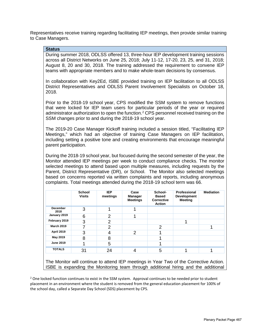Representatives receive training regarding facilitating IEP meetings, then provide similar training to Case Managers.

## **Status**

During summer 2018, ODLSS offered 13, three-hour IEP development training sessions across all District Networks on June 25, 2018; July 11-12, 17-20, 23, 25, and 31, 2018; August 8, 20 and 30, 2018. The training addressed the requirement to convene IEP teams with appropriate members and to make whole-team decisions by consensus.

In collaboration with Key2Ed, ISBE provided training on IEP facilitation to all ODLSS District Representatives and ODLSS Parent Involvement Specialists on October 18, 2018.

Prior to the 2018-19 school year, CPS modified the SSM system to remove functions that were locked for IEP team users for particular periods of the year or required administrator authorization to open the function.<sup>2</sup> CPS personnel received training on the SSM changes prior to and during the 2018-19 school year.

The 2019-20 Case Manager Kickoff training included a session titled, "Facilitating IEP Meetings," which had an objective of training Case Managers on IEP facilitation, including setting a positive tone and creating environments that encourage meaningful parent participation.

During the 2018-19 school year, but focused during the second semester of the year, the Monitor attended IEP meetings per week to conduct compliance checks. The monitor selected meetings to attend based upon multiple measures, including requests by the Parent, District Representative (DR), or School. The Monitor also selected meetings based on concerns reported via written complaints and reports, including anonymous complaints. Total meetings attended during the 2018-19 school term was 66.

|                         | <b>School</b><br><b>Visits</b> | <b>IEP</b><br>meetings | Case<br><b>Manager</b><br><b>Meetings</b> | School-<br><b>Based</b><br><b>Corrective</b><br><b>Action</b> | Professional<br><b>Development</b><br><b>Meeting</b> | <b>Mediation</b> |
|-------------------------|--------------------------------|------------------------|-------------------------------------------|---------------------------------------------------------------|------------------------------------------------------|------------------|
| <b>December</b><br>2018 | 3                              |                        |                                           |                                                               |                                                      |                  |
| January 2019            | 6                              | $\overline{2}$         |                                           |                                                               |                                                      |                  |
| February 2019           | 3                              | 2                      |                                           |                                                               |                                                      |                  |
| <b>March 2019</b>       | 7                              | 2                      |                                           | 2                                                             |                                                      |                  |
| April 2019              | 3                              | 4                      | 2                                         |                                                               |                                                      |                  |
| May 2019                | 8                              | 8                      |                                           |                                                               |                                                      |                  |
| <b>June 2019</b>        |                                | 5                      |                                           |                                                               |                                                      |                  |
| <b>TOTALS</b>           | 31                             | 24                     |                                           | 5                                                             |                                                      |                  |

The Monitor will continue to attend IEP meetings in Year Two of the Corrective Action. ISBE is expanding the Monitoring team through additional hiring and the additional

<sup>2</sup> One locked function continues to exist in the SSM system. Approval continues to be needed prior to student placement in an environment where the student is removed from the general education placement for 100% of the school day, called a Separate Day School (SDS) placement by CPS.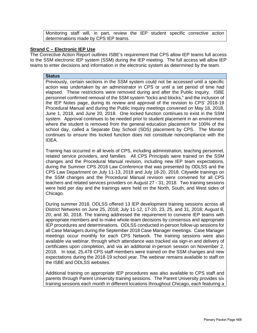Monitoring staff will, in part, review the IEP student specific corrective action determinations made by CPS IEP teams.

## **Strand C – Electronic IEP Use**

The Corrective Action Report outlines ISBE's requirement that CPS allow IEP teams full access to the SSM electronic IEP system (SSM) during the IEP meeting. The full access will allow IEP teams to enter decisions and information in the electronic system as determined by the team.

# **Status**

Previously, certain sections in the SSM system could not be accessed until a specific action was undertaken by an administrator in CPS or until a set period of time had elapsed. These restrictions were removed during and after the Public Inquiry. ISBE personnel confirmed removal of the SSM system "locks and blocks," and the inclusion of the IEP Notes page, during its review and approval of the revision to CPS' 2018-19 Procedural Manual and during the Public Inquiry meetings convened on May 18, 2018, June 1, 2018, and June 20, 2018. One locked function continues to exist in the SSM system. Approval continues to be needed prior to student placement in an environment where the student is removed from the general education placement for 100% of the school day, called a Separate Day School (SDS) placement by CPS. The Monitor continues to ensure this locked function does not constitute noncompliance with the IDEA.

Training has occurred in all levels of CPS, including administration, teaching personnel, related service providers, and families. All CPS Principals were trained on the SSM changes and the Procedural Manual revision, including new IEP team expectations, during the Summer CPS 2018 Law Conference that was presented by ODLSS and the CPS Law Department on July 11-13, 2018 and July 18-20, 2018. Citywide trainings on the SSM changes and the Procedural Manual revision were convened for all CPS teachers and related services providers on August 27 - 31, 2018. Two training sessions were held per day and the trainings were held on the North, South, and West sides of Chicago.

During summer 2018, ODLSS offered 13 IEP development training sessions across all District Networks on June 25, 2018; July 11-12, 17-20, 23, 25, and 31, 2018; August 8, 20, and 30, 2018. The training addressed the requirement to convene IEP teams with appropriate members and to make whole-team decisions by consensus and appropriate IEP procedures and determinations. ODLSS conducted in-person follow-up sessions for all Case Managers during the September 2018 Case Manager meetings. Case Manager meetings occur monthly for each CPS Network. The training sessions were also available via webinar, through which attendance was tracked via sign-in and delivery of certificates upon completion, and via an additional in-person session on November 2, 2018. In total, 25,478 CPS staff members were trained on the SSM changes and new expectations during the 2018-19 school year. The webinar remains available to staff on the ISBE and ODLSS websites.

Additional training on appropriate IEP procedures was also available to CPS staff and parents through Parent University training sessions. The Parent University provides six training sessions each month in different locations throughout Chicago, each featuring a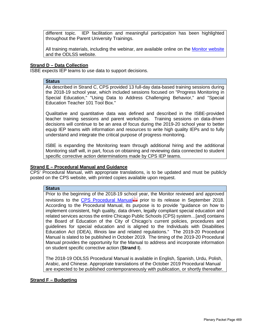different topic. IEP facilitation and meaningful participation has been highlighted throughout the Parent University Trainings.

All training materials, including the webinar, are available online on the Monitor website and the ODLSS website.

## **Strand D – Data Collection**

ISBE expects IEP teams to use data to support decisions.

#### **Status**

As described in Strand C, CPS provided 13 full-day data-based training sessions during the 2018-19 school year, which included sessions focused on "Progress Monitoring in Special Education," "Using Data to Address Challenging Behavior," and "Special Education Teacher 101 Tool Box."

Qualitative and quantitative data was defined and described in the ISBE-provided teacher training sessions and parent workshops. Training sessions on data-driven decisions will continue to be an area of focus during the 2019-20 school year to better equip IEP teams with information and resources to write high quality IEPs and to fully understand and integrate the critical purpose of progress monitoring.

ISBE is expanding the Monitoring team through additional hiring and the additional Monitoring staff will, in part, focus on obtaining and reviewing data connected to student specific corrective action determinations made by CPS IEP teams.

#### **Strand E – Procedural Manual and Guidance**

CPS' Procedural Manual, with appropriate translations, is to be updated and must be publicly posted on the CPS website, with printed copies available upon request.

#### **Status**

Prior to the beginning of the 2018-19 school year, the Monitor reviewed and approved revisions to the CPS Procedural Manual prior to its release in September 2018. According to the Procedural Manual, its purpose is to provide "guidance on how to implement consistent, high quality, data driven, legally compliant special education and related services across the entire Chicago Public Schools (CPS) system…[and] contains the Board of Education of the City of Chicago's current policies, procedures and guidelines for special education and is aligned to the Individuals with Disabilities Education Act (IDEA), Illinois law and related regulations." The 2019-20 Procedural Manual is slated to be published in October 2019. The timing of the 2019-20 Procedural Manual provides the opportunity for the Manual to address and incorporate information on student specific corrective action (**Strand I**).

The 2018-19 ODLSS Procedural Manual is available in English, Spanish, Urdu, Polish, Arabic, and Chinese. Appropriate translations of the October 2019 Procedural Manual are expected to be published contemporaneously with publication, or shortly thereafter.

#### **Strand F – Budgeting**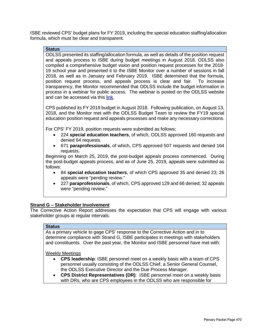ISBE reviewed CPS' budget plans for FY 2019, including the special education staffing/allocation formula, which must be clear and transparent.

## **Status**

ODLSS presented its staffing/allocation formula, as well as details of the position request and appeals process to ISBE during budget meetings in August 2018. ODLSS also compiled a comprehensive budget vision and position request processes for the 2018- 19 school year and presented it to the ISBE Monitor over a number of sessions in fall 2018, as well as in January and February 2019. ISBE determined that the formula, position request process, and appeals process is clear and fair. To increase transparency, the Monitor recommended that ODLSS include the budget information in process in a webinar for public access. The webinar is posted on the ODLSS website and can be accessed via this link.

CPS published its FY 2019 budget in August 2018. Following publication, on August 13, 2018, and the Monitor met with the ODLSS Budget Team to review the FY19 special education position request and appeals processes and make any necessary corrections.

For CPS' FY 2019, position requests were submitted as follows:

- 224 **special education teachers**, of which, ODLSS approved 160 requests and denied 64 requests.
- 671 **paraprofessionals**, of which, CPS approved 507 requests and denied 164 requests.

Beginning on March 25, 2019, the post-budget appeals process commenced. During the post-budget appeals process, and as of June 25, 2019, appeals were submitted as follows:

- 84 **special education teachers**, of which CPS approved 35 and denied 23; 26 appeals were "pending review."
- 227 **paraprofessionals**, of which, CPS approved 129 and 66 denied; 32 appeals were "pending review."

## **Strand G – Stakeholder Involvement**

The Corrective Action Report addresses the expectation that CPS will engage with various stakeholder groups at regular intervals.

## **Status**

As a primary vehicle to gage CPS' response to the Corrective Action and in to determine compliance with Strand G, ISBE participates in meetings with stakeholders and constituents. Over the past year, the Monitor and ISBE personnel have met with:

Weekly Meetings

- **CPS leadership**: ISBE personnel meet on a weekly basis with a team of CPS personnel usually consisting of the ODLSS Chief, a Senior General Counsel, the ODLSS Executive Director and the Due Process Manager.
- **CPS District Representatives (DR)**: ISBE personnel meet on a weekly basis with DRs, who are CPS employees in the ODLSS who are responsible for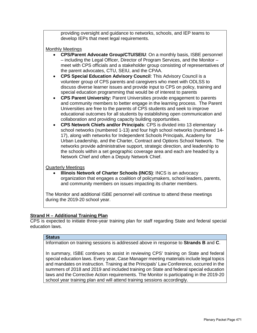providing oversight and guidance to networks, schools, and IEP teams to develop IEPs that meet legal requirements.

#### Monthly Meetings

- **CPS/Parent Advocate Group/CTU/SEIU**: On a monthly basis, ISBE personnel – including the Legal Officer, Director of Program Services, and the Monitor – meet with CPS officials and a stakeholder group consisting of representatives of the parent advocates, CTU, SEIU, and the CPAA.
- **CPS Special Education Advisory Council**: This Advisory Council is a volunteer group of CPS parents and caregivers who meet with ODLSS to discuss diverse learner issues and provide input to CPS on policy, training and special education programming that would be of interest to parents
- **CPS Parent University:** Parent Universities provide engagement to parents and community members to better engage in the learning process. The Parent Universities are free to the parents of CPS students and seek to improve educational outcomes for all students by establishing open communication and collaboration and providing capacity building opportunities.
- **CPS Network Chiefs and/or Principals**: CPS is divided into 13 elementary school networks (numbered 1-13) and four high school networks (numbered 14- 17), along with networks for Independent Schools Principals, Academy for Urban Leadership, and the Charter, Contract and Options School Network. The networks provide administrative support, strategic direction, and leadership to the schools within a set geographic coverage area and each are headed by a Network Chief and often a Deputy Network Chief.

#### Quarterly Meetings

• **Illinois Network of Charter Schools (INCS)**: INCS is an advocacy organization that engages a coalition of policymakers, school leaders, parents, and community members on issues impacting its charter members.

The Monitor and additional ISBE personnel will continue to attend these meetings during the 2019-20 school year.

## **Strand H – Additional Training Plan**

CPS is expected to initiate three-year training plan for staff regarding State and federal special education laws.

#### **Status**

Information on training sessions is addressed above in response to **Strands B** and **C**.

In summary, ISBE continues to assist in reviewing CPS' training on State and federal special education laws. Every year, Case Manager meeting materials include legal topics and mandates on instruction. Training at the Principals' Law Conference, occurred in the summers of 2018 and 2019 and included training on State and federal special education laws and the Corrective Action requirements. The Monitor is participating in the 2019-20 school year training plan and will attend training sessions accordingly.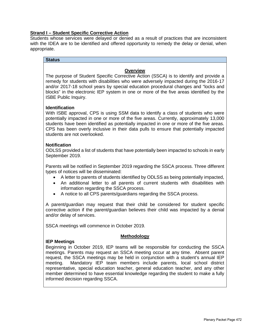# **Strand I – Student Specific Corrective Action**

Students whose services were delayed or denied as a result of practices that are inconsistent with the IDEA are to be identified and offered opportunity to remedy the delay or denial, when appropriate.

### **Status**

# **Overview**

The purpose of Student Specific Corrective Action (SSCA) is to identify and provide a remedy for students with disabilities who were adversely impacted during the 2016-17 and/or 2017-18 school years by special education procedural changes and "locks and blocks" in the electronic IEP system in one or more of the five areas identified by the ISBE Public Inquiry.

# **Identification**

With ISBE approval, CPS is using SSM data to identify a class of students who were potentially impacted in one or more of the five areas. Currently, approximately 13,000 students have been identified as potentially impacted in one or more of the five areas. CPS has been overly inclusive in their data pulls to ensure that potentially impacted students are not overlooked.

# **Notification**

ODLSS provided a list of students that have potentially been impacted to schools in early September 2019.

Parents will be notified in September 2019 regarding the SSCA process. Three different types of notices will be disseminated:

- A letter to parents of students identified by ODLSS as being potentially impacted,
- An additional letter to all parents of current students with disabilities with information regarding the SSCA process.
- A notice to all CPS parents/guardians regarding the SSCA process.

A parent/guardian may request that their child be considered for student specific corrective action if the parent/guardian believes their child was impacted by a denial and/or delay of services.

SSCA meetings will commence in October 2019.

## **Methodology**

## **IEP Meetings**

Beginning in October 2019, IEP teams will be responsible for conducting the SSCA meetings. Parents may request an SSCA meeting occur at any time. Absent parent request, the SSCA meetings may be held in conjunction with a student's annual IEP meeting. Mandatory IEP team members include parents, local school district representative, special education teacher, general education teacher, and any other member determined to have essential knowledge regarding the student to make a fully informed decision regarding SSCA.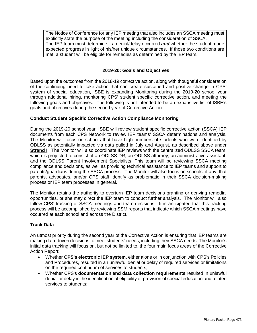The Notice of Conference for any IEP meeting that also includes an SSCA meeting must explicitly state the purpose of the meeting including the consideration of SSCA. The IEP team must determine if a denial/delay occurred *and* whether the student made expected progress in light of his/her unique circumstances. If those two conditions are met, a student will be eligible for remedies as determined by the IEP team.

# **2019-20: Goals and Objectives**

Based upon the outcomes from the 2018-19 corrective action, along with thoughtful consideration of the continuing need to take action that can create sustained and positive change in CPS' system of special education, ISBE is expanding Monitoring during the 2019-20 school year through additional hiring, monitoring CPS' student specific corrective action, and meeting the following goals and objectives. The following is not intended to be an exhaustive list of ISBE's goals and objectives during the second year of Corrective Action:

# **Conduct Student Specific Corrective Action Compliance Monitoring**

During the 2019-20 school year, ISBE will review student specific corrective action (SSCA) IEP documents from each CPS Network to review IEP teams' SSCA determinations and analysis. The Monitor will focus on schools that have high numbers of students who were identified by ODLSS as potentially impacted via data pulled in July and August, as described above under **Strand I**. The Monitor will also coordinate IEP reviews with the centralized ODLSS SSCA team, which is projected to consist of an ODLSS DR, an ODLSS attorney, an administrative assistant, and the ODLSS Parent Involvement Specialists. This team will be reviewing SSCA meeting compliance and decisions, as well as providing technical assistance to IEP teams and support to parents/guardians during the SSCA process. The Monitor will also focus on schools, if any, that parents, advocates, and/or CPS staff identify as problematic in their SSCA decision-making process or IEP team processes in general.

The Monitor retains the authority to overturn IEP team decisions granting or denying remedial opportunities, or she may direct the IEP team to conduct further analysis. The Monitor will also follow CPS' tracking of SSCA meetings and team decisions. It is anticipated that this tracking process will be accomplished by reviewing SSM reports that indicate which SSCA meetings have occurred at each school and across the District.

# **Track Data**

An utmost priority during the second year of the Corrective Action is ensuring that IEP teams are making data-driven decisions to meet students' needs, including their SSCA needs. The Monitor's initial data tracking will focus on, but not be limited to, the four main focus areas of the Corrective Action Report:

- Whether **CPS's electronic IEP system**, either alone or in conjunction with CPS's Policies and Procedures, resulted in an unlawful denial or delay of required services or limitations on the required continuum of services to students;
- Whether CPS's **documentation and data collection requirements** resulted in unlawful denial or delay in the identification of eligibility or provision of special education and related services to students;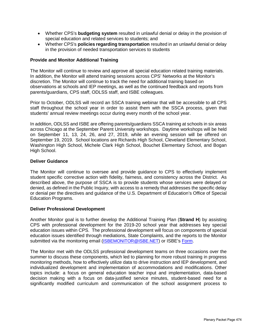- Whether CPS's **budgeting system** resulted in unlawful denial or delay in the provision of special education and related services to students; and
- Whether CPS's **policies regarding transportation** resulted in an unlawful denial or delay in the provision of needed transportation services to students

# **Provide and Monitor Additional Training**

The Monitor will continue to review and approve all special education related training materials. In addition, the Monitor will attend training sessions across CPS' Networks at the Monitor's discretion. The Monitor will continue to track the need for additional training based on observations at schools and IEP meetings, as well as the continued feedback and reports from parents/guardians, CPS staff, ODLSS staff, and ISBE colleagues.

Prior to October, ODLSS will record an SSCA training webinar that will be accessible to all CPS staff throughout the school year in order to assist them with the SSCA process, given that students' annual review meetings occur during every month of the school year.

In addition, ODLSS and ISBE are offering parents/guardians SSCA training at schools in six areas across Chicago at the September Parent University workshops. Daytime workshops will be held on September 11, 13, 24, 26, and 27, 2019, while an evening session will be offered on September 19, 2019. School locations are Richards High School, Cleveland Elementary School, Washington High School, Michele Clark High School, Bouchet Elementary School, and Bogan High School.

## **Deliver Guidance**

The Monitor will continue to oversee and provide guidance to CPS to effectively implement student specific corrective action with fidelity, fairness, and consistency across the District. As described above, the purpose of SSCA is to provide students whose services were delayed or denied, as defined in the Public Inquiry, with access to a remedy that addresses the specific delay or denial per the directives and guidance of the U.S. Department of Education's Office of Special Education Programs.

## **Deliver Professional Development**

Another Monitor goal is to further develop the Additional Training Plan (**Strand H**) by assisting CPS with professional development for the 2019-20 school year that addresses key special education issues within CPS. The professional development will focus on components of special education issues identified through mediations, State Complaints, and the reports to the Monitor submitted via the monitoring email (ISBEMONITOR@ISBE.NET) or ISBE's Form.

The Monitor met with the ODLSS professional development teams on three occasions over the summer to discuss these components, which led to planning for more robust training in progress monitoring methods, how to effectively utilize data to drive instruction and IEP development, and individualized development and implementation of accommodations and modifications. Other topics include: a focus on general education teacher input and implementation, data-based decision making with a focus on data-justified service minutes, student-based need for a significantly modified curriculum and communication of the school assignment process to